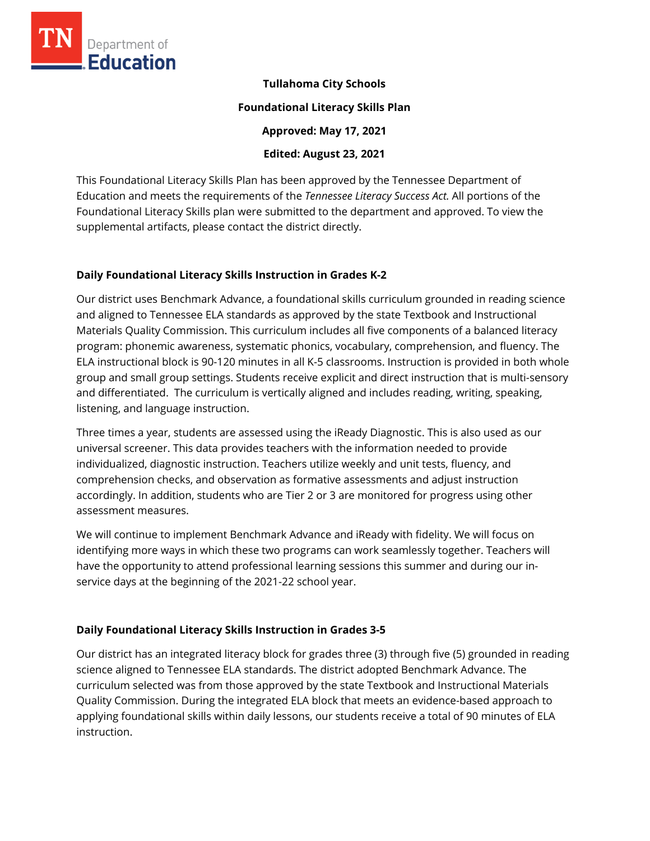

#### **Tullahoma City Schools**

#### **Foundational Literacy Skills Plan**

**Approved: May 17, 2021** 

**Edited: August 23, 2021**

This Foundational Literacy Skills Plan has been approved by the Tennessee Department of Education and meets the requirements of the *Tennessee Literacy Success Act.* All portions of the Foundational Literacy Skills plan were submitted to the department and approved. To view the supplemental artifacts, please contact the district directly.

## **Daily Foundational Literacy Skills Instruction in Grades K-2**

Our district uses Benchmark Advance, a foundational skills curriculum grounded in reading science and aligned to Tennessee ELA standards as approved by the state Textbook and Instructional Materials Quality Commission. This curriculum includes all five components of a balanced literacy program: phonemic awareness, systematic phonics, vocabulary, comprehension, and fluency. The ELA instructional block is 90-120 minutes in all K-5 classrooms. Instruction is provided in both whole group and small group settings. Students receive explicit and direct instruction that is multi-sensory and differentiated. The curriculum is vertically aligned and includes reading, writing, speaking, listening, and language instruction.

Three times a year, students are assessed using the iReady Diagnostic. This is also used as our universal screener. This data provides teachers with the information needed to provide individualized, diagnostic instruction. Teachers utilize weekly and unit tests, fluency, and comprehension checks, and observation as formative assessments and adjust instruction accordingly. In addition, students who are Tier 2 or 3 are monitored for progress using other assessment measures.

We will continue to implement Benchmark Advance and iReady with fidelity. We will focus on identifying more ways in which these two programs can work seamlessly together. Teachers will have the opportunity to attend professional learning sessions this summer and during our inservice days at the beginning of the 2021-22 school year.

# **Daily Foundational Literacy Skills Instruction in Grades 3-5**

Our district has an integrated literacy block for grades three (3) through five (5) grounded in reading science aligned to Tennessee ELA standards. The district adopted Benchmark Advance. The curriculum selected was from those approved by the state Textbook and Instructional Materials Quality Commission. During the integrated ELA block that meets an evidence-based approach to applying foundational skills within daily lessons, our students receive a total of 90 minutes of ELA instruction.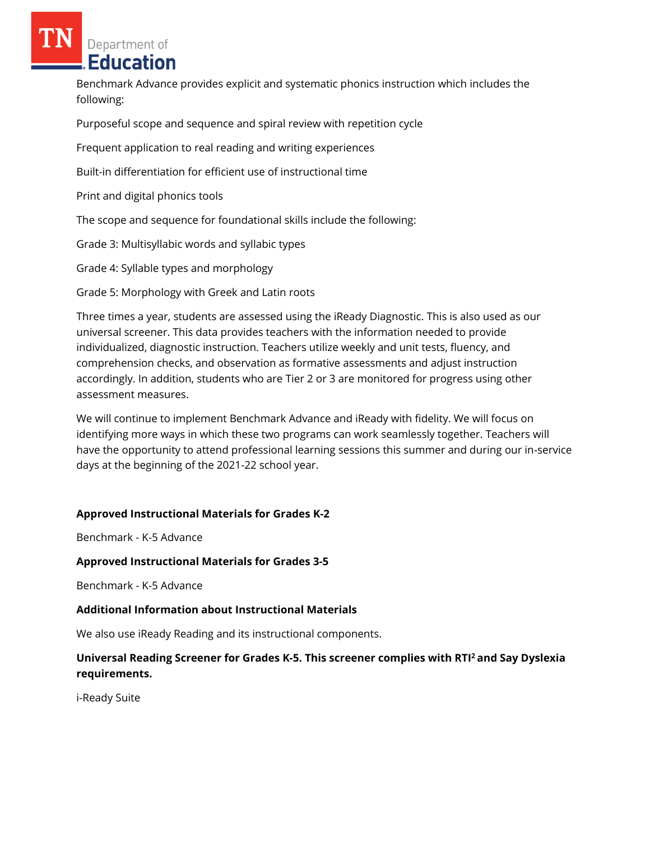Benchmark Advance provides explicit and systematic phonics instruction which includes the following:

Purposeful scope and sequence and spiral review with repetition cycle

Frequent application to real reading and writing experiences

Built-in differentiation for efficient use of instructional time

Print and digital phonics tools

The scope and sequence for foundational skills include the following:

Grade 3: Multisyllabic words and syllabic types

Grade 4: Syllable types and morphology

Grade 5: Morphology with Greek and Latin roots

Three times a year, students are assessed using the iReady Diagnostic. This is also used as our universal screener. This data provides teachers with the information needed to provide individualized, diagnostic instruction. Teachers utilize weekly and unit tests, fluency, and comprehension checks, and observation as formative assessments and adjust instruction accordingly. In addition, students who are Tier 2 or 3 are monitored for progress using other assessment measures.

We will continue to implement Benchmark Advance and iReady with fidelity. We will focus on identifying more ways in which these two programs can work seamlessly together. Teachers will have the opportunity to attend professional learning sessions this summer and during our in-service days at the beginning of the 2021-22 school year.

# **Approved Instructional Materials for Grades K-2**

Benchmark - K-5 Advance

## **Approved Instructional Materials for Grades 3-5**

Benchmark - K-5 Advance

## **Additional Information about Instructional Materials**

We also use iReady Reading and its instructional components.

# **Universal Reading Screener for Grades K-5. This screener complies with RTI<sup>2</sup>and Say Dyslexia requirements.**

i-Ready Suite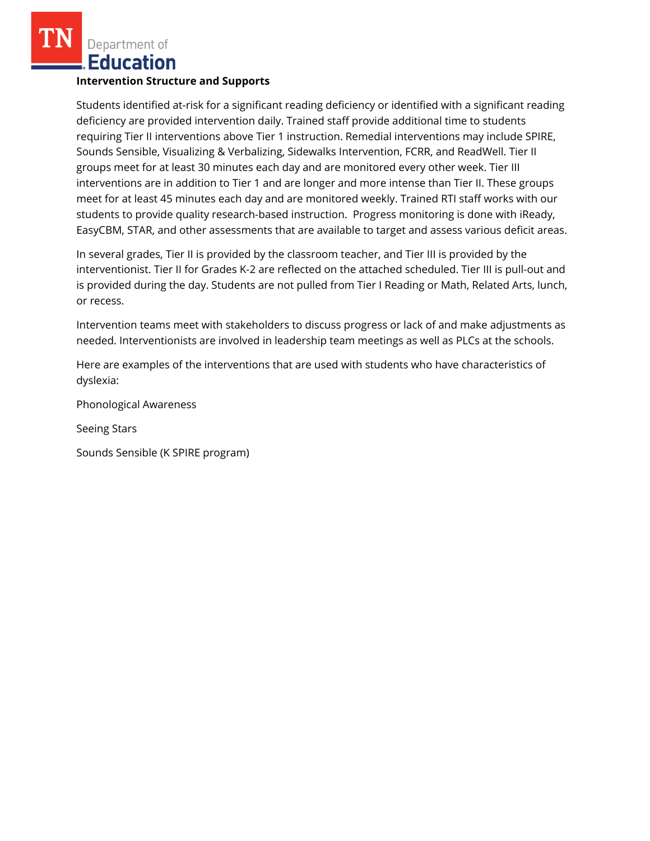# **Intervention Structure and Supports**

Students identified at-risk for a significant reading deficiency or identified with a significant reading deficiency are provided intervention daily. Trained staff provide additional time to students requiring Tier II interventions above Tier 1 instruction. Remedial interventions may include SPIRE, Sounds Sensible, Visualizing & Verbalizing, Sidewalks Intervention, FCRR, and ReadWell. Tier II groups meet for at least 30 minutes each day and are monitored every other week. Tier III interventions are in addition to Tier 1 and are longer and more intense than Tier II. These groups meet for at least 45 minutes each day and are monitored weekly. Trained RTI staff works with our students to provide quality research-based instruction. Progress monitoring is done with iReady, EasyCBM, STAR, and other assessments that are available to target and assess various deficit areas.

In several grades, Tier II is provided by the classroom teacher, and Tier III is provided by the interventionist. Tier II for Grades K-2 are reflected on the attached scheduled. Tier III is pull-out and is provided during the day. Students are not pulled from Tier I Reading or Math, Related Arts, lunch, or recess.

Intervention teams meet with stakeholders to discuss progress or lack of and make adjustments as needed. Interventionists are involved in leadership team meetings as well as PLCs at the schools.

Here are examples of the interventions that are used with students who have characteristics of dyslexia:

Phonological Awareness

Seeing Stars

Sounds Sensible (K SPIRE program)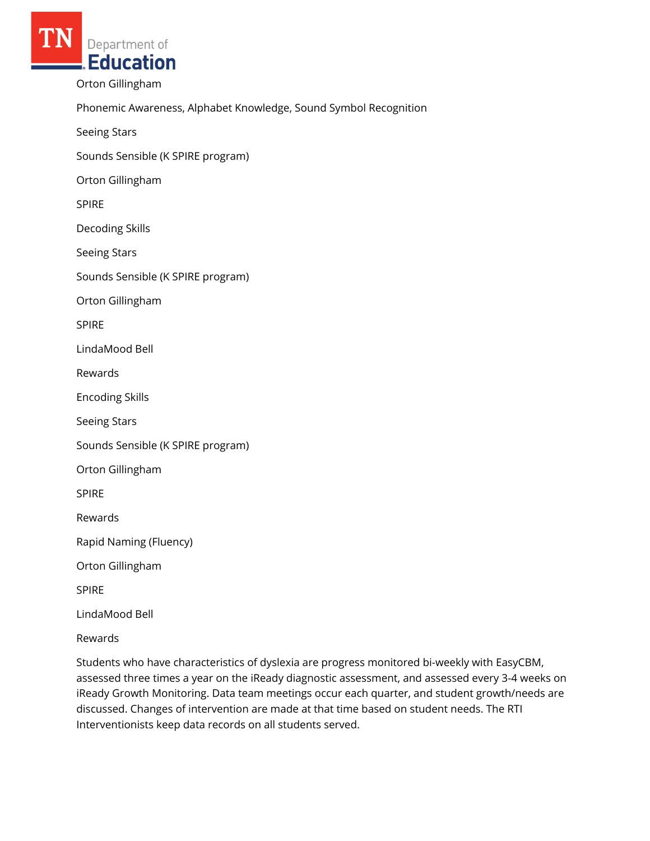Orton Gillingham

Phonemic Awareness, Alphabet Knowledge, Sound Symbol Recognition

Seeing Stars

Sounds Sensible (K SPIRE program)

Orton Gillingham

SPIRE

Decoding Skills

Seeing Stars

Sounds Sensible (K SPIRE program)

Orton Gillingham

SPIRE

LindaMood Bell

Rewards

Encoding Skills

Seeing Stars

Sounds Sensible (K SPIRE program)

Orton Gillingham

SPIRE

Rewards

Rapid Naming (Fluency)

Orton Gillingham

SPIRE

LindaMood Bell

Rewards

Students who have characteristics of dyslexia are progress monitored bi-weekly with EasyCBM, assessed three times a year on the iReady diagnostic assessment, and assessed every 3-4 weeks on iReady Growth Monitoring. Data team meetings occur each quarter, and student growth/needs are discussed. Changes of intervention are made at that time based on student needs. The RTI Interventionists keep data records on all students served.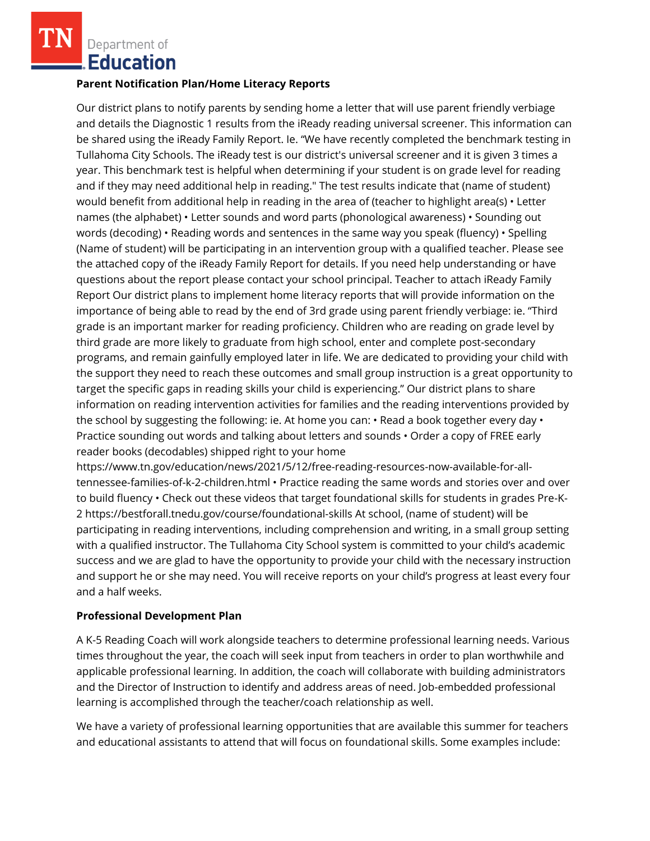#### **Parent Notification Plan/Home Literacy Reports**

Our district plans to notify parents by sending home a letter that will use parent friendly verbiage and details the Diagnostic 1 results from the iReady reading universal screener. This information can be shared using the iReady Family Report. Ie. "We have recently completed the benchmark testing in Tullahoma City Schools. The iReady test is our district's universal screener and it is given 3 times a year. This benchmark test is helpful when determining if your student is on grade level for reading and if they may need additional help in reading." The test results indicate that (name of student) would benefit from additional help in reading in the area of (teacher to highlight area(s)  $\cdot$  Letter names (the alphabet) • Letter sounds and word parts (phonological awareness) • Sounding out words (decoding) • Reading words and sentences in the same way you speak (fluency) • Spelling (Name of student) will be participating in an intervention group with a qualified teacher. Please see the attached copy of the iReady Family Report for details. If you need help understanding or have questions about the report please contact your school principal. Teacher to attach iReady Family Report Our district plans to implement home literacy reports that will provide information on the importance of being able to read by the end of 3rd grade using parent friendly verbiage: ie. "Third grade is an important marker for reading proficiency. Children who are reading on grade level by third grade are more likely to graduate from high school, enter and complete post-secondary programs, and remain gainfully employed later in life. We are dedicated to providing your child with the support they need to reach these outcomes and small group instruction is a great opportunity to target the specific gaps in reading skills your child is experiencing." Our district plans to share information on reading intervention activities for families and the reading interventions provided by the school by suggesting the following: ie. At home you can: • Read a book together every day • Practice sounding out words and talking about letters and sounds • Order a copy of FREE early reader books (decodables) shipped right to your home

https://www.tn.gov/education/news/2021/5/12/free-reading-resources-now-available-for-alltennessee-families-of-k-2-children.html • Practice reading the same words and stories over and over to build fluency • Check out these videos that target foundational skills for students in grades Pre-K-2 https://bestforall.tnedu.gov/course/foundational-skills At school, (name of student) will be participating in reading interventions, including comprehension and writing, in a small group setting with a qualified instructor. The Tullahoma City School system is committed to your child's academic success and we are glad to have the opportunity to provide your child with the necessary instruction and support he or she may need. You will receive reports on your child's progress at least every four and a half weeks.

## **Professional Development Plan**

A K-5 Reading Coach will work alongside teachers to determine professional learning needs. Various times throughout the year, the coach will seek input from teachers in order to plan worthwhile and applicable professional learning. In addition, the coach will collaborate with building administrators and the Director of Instruction to identify and address areas of need. Job-embedded professional learning is accomplished through the teacher/coach relationship as well.

We have a variety of professional learning opportunities that are available this summer for teachers and educational assistants to attend that will focus on foundational skills. Some examples include: